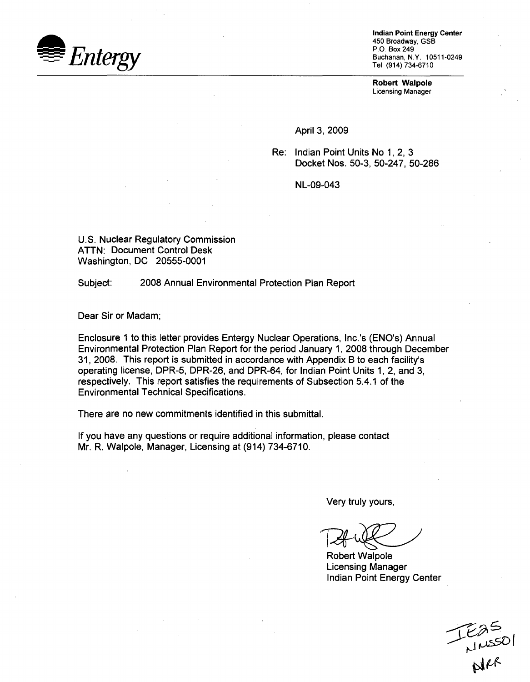

Indian Point Energy Center 450 Broadway, GSB P.O. Box 249 Buchanan, N.Y. 10511-0249 Tel (914) 734-6710

Robert Walpole Licensing Manager

April 3, 2009

Re: Indian Point Units No 1, 2, 3 Docket Nos. 50-3, 50-247, 50-286

NL-09-043

U.S. Nuclear Regulatory Commission ATTN: Document Control Desk Washington, DC 20555-0001

Subject: 2008 Annual Environmental Protection Plan Report

Dear Sir or Madam;

Enclosure 1 to this letter provides Entergy Nuclear Operations, Inc.'s (ENO's) Annual Environmental Protection Plan Report for the period January 1, 2008 through December 31, 2008. This report is submitted in accordance with Appendix B to each facility's operating license, DPR-5, DPR-26, and DPR-64, for Indian Point Units 1, 2, and 3, respectively. This report satisfies the requirements of Subsection 5.4.1 of the Environmental Technical Specifications.

There are no new commitments identified in this submittal.

If you have any questions or require additional information, please contact Mr. R. Walpole, Manager, Licensing at (914) 734-6710.

Very truly yours,

Robert Walpole Licensing Manager Indian Point Energy Center

Easo<br>--<br>Mer<br>Notes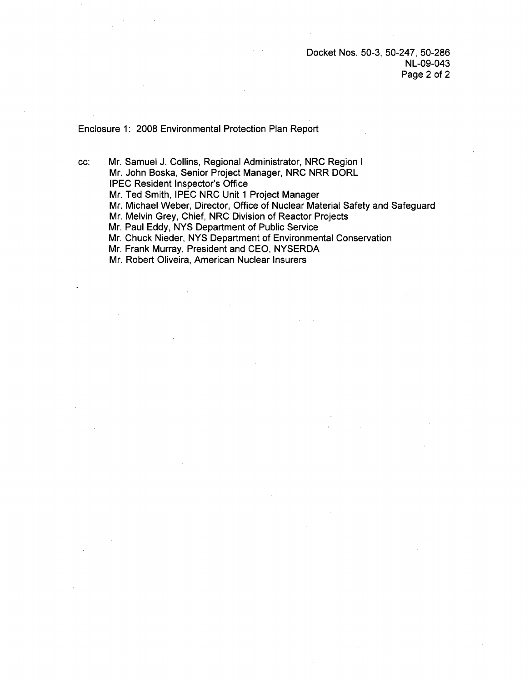## Enclosure 1: 2008 Environmental Protection Plan Report

cc: Mr. Samuel J. Collins, Regional Administrator, NRC Region I Mr. John Boska, Senior Project Manager, NRC NRR DORL IPEC Resident Inspector's Office Mr. Ted Smith, IPEC NRC Unit 1 Project Manager Mr. Michael Weber, Director, Office of Nuclear Material Safety and Safeguard Mr. Melvin Grey, Chief, NRC Division of Reactor Projects Mr. Paul Eddy, NYS Department of Public Service Mr. Chuck Nieder, NYS Department of Environmental Conservation Mr. Frank Murray, President and CEO, NYSERDA

Mr. Robert Oliveira, American Nuclear Insurers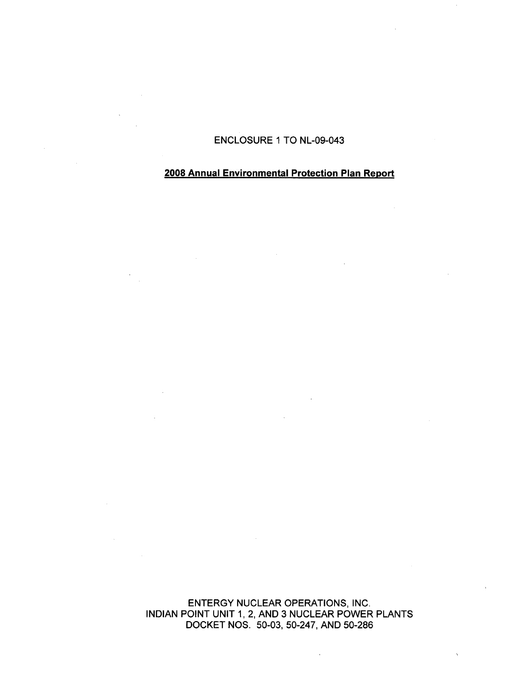ENCLOSURE 1 TO NL-09-043

# **2008** Annual Environmental Protection Plan **Report**

ENTERGY NUCLEAR OPERATIONS, INC. INDIAN POINT UNIT 1, 2, AND 3 NUCLEAR POWER PLANTS DOCKET NOS. 50-03, 50-247, AND 50-286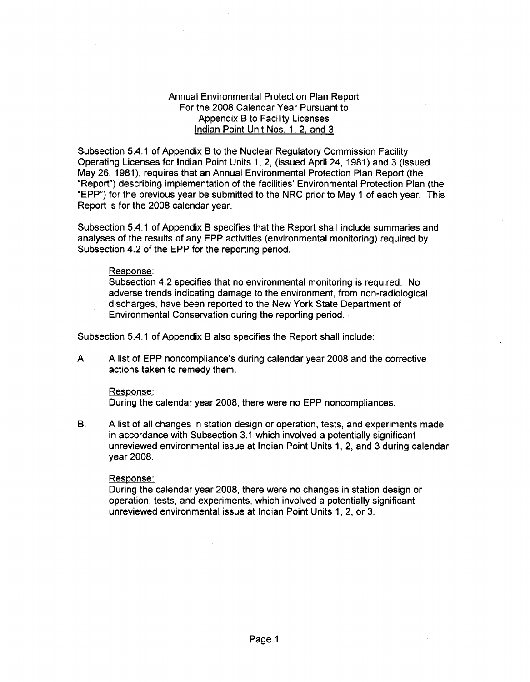# Annual Environmental Protection Plan Report For the 2008 Calendar Year Pursuant to Appendix B to Facility Licenses Indian Point Unit Nos. 1, 2, and 3

Subsection 5.4.1 of Appendix B to the Nuclear Regulatory Commission Facility Operating Licenses for Indian Point Units 1, 2, (issued April 24, 1981) and 3 (issued May 26, 1981), requires that an Annual Environmental Protection Plan Report (the "Report") describing implementation of the facilities' Environmental Protection Plan (the "EPP") for the previous year be submitted to the NRC prior to May 1 of each year. This Report is for the 2008 calendar year.

Subsection 5.4.1 of Appendix B specifies that the Report shall include summaries and analyses of the results of any EPP activities (environmental monitoring) required by Subsection 4.2 of the EPP for the reporting period.

#### Response:

Subsection 4.2 specifies that no environmental monitoring is required. No adverse trends indicating damage to the environment, from non-radiological discharges, have been reported to the New York State Department of Environmental Conservation during the reporting period.

Subsection 5.4.1 of Appendix B also specifies the Report shall include:

A. A list of EPP noncompliance's during calendar year 2008 and the corrective actions taken to remedy them.

#### Response:

During the calendar year 2008, there were no EPP noncompliances.

B. A list of all changes in station design or operation, tests, and experiments made in accordance with Subsection 3.1 which involved a potentially significant unreviewed environmental issue at Indian Point Units 1, 2, and 3 during calendar year 2008.

## Response:

During the calendar year 2008, there were no changes in station design or operation, tests, and experiments, which involved a potentially significant unreviewed environmental issue at Indian Point Units 1, 2, or 3.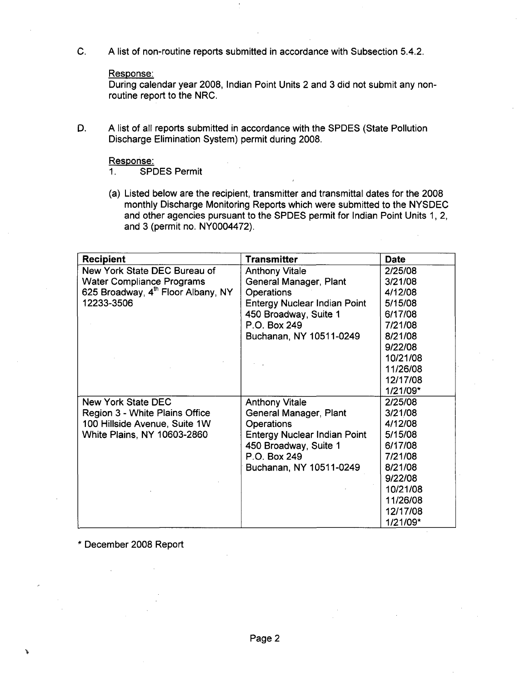C. A list of non-routine reports submitted in accordance with Subsection 5.4.2.

## Response:

During calendar year 2008, Indian Point Units 2 and 3 did not submit any nonroutine report to the NRC.

D. A list of all reports submitted in accordance with the SPDES (State Pollution Discharge Elimination System) permit during 2008.

Response:<br>1. SPI

SPDES Permit

(a) Listed below are the recipient, transmitter and transmittal dates for the 2008 monthly Discharge Monitoring Reports which were submitted to the NYSDEC and other agencies pursuant to the SPDES permit for Indian Point Units 1, 2, and 3 (permit no. NY0004472).

| <b>Recipient</b>                   | <b>Transmitter</b>                  | Date     |
|------------------------------------|-------------------------------------|----------|
| New York State DEC Bureau of       | <b>Anthony Vitale</b>               | 2/25/08  |
| <b>Water Compliance Programs</b>   | General Manager, Plant              | 3/21/08  |
| 625 Broadway, 4th Floor Albany, NY | <b>Operations</b>                   | 4/12/08  |
| 12233-3506                         | <b>Entergy Nuclear Indian Point</b> | 5/15/08  |
|                                    | 450 Broadway, Suite 1               | 6/17/08  |
|                                    | P.O. Box 249                        | 7/21/08  |
|                                    | Buchanan, NY 10511-0249             | 8/21/08  |
|                                    |                                     | 9/22/08  |
|                                    |                                     | 10/21/08 |
|                                    |                                     | 11/26/08 |
|                                    |                                     | 12/17/08 |
|                                    |                                     | 1/21/09* |
| New York State DEC                 | <b>Anthony Vitale</b>               | 2/25/08  |
| Region 3 - White Plains Office     | General Manager, Plant              | 3/21/08  |
| 100 Hillside Avenue, Suite 1W      | <b>Operations</b>                   | 4/12/08  |
| White Plains, NY 10603-2860        | <b>Entergy Nuclear Indian Point</b> | 5/15/08  |
|                                    | 450 Broadway, Suite 1               | 6/17/08  |
|                                    | P.O. Box 249                        | 7/21/08  |
|                                    | Buchanan, NY 10511-0249             | 8/21/08  |
|                                    |                                     | 9/22/08  |
|                                    |                                     | 10/21/08 |
|                                    |                                     | 11/26/08 |
|                                    |                                     | 12/17/08 |
|                                    |                                     | 1/21/09* |

\* December 2008 Report

N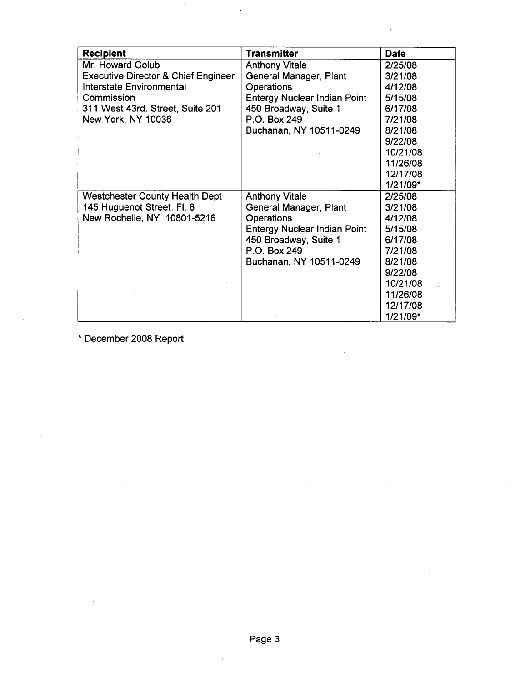| <b>Recipient</b>                               | <b>Transmitter</b>                  | <b>Date</b> |
|------------------------------------------------|-------------------------------------|-------------|
| Mr. Howard Golub                               | <b>Anthony Vitale</b>               | 2/25/08     |
| <b>Executive Director &amp; Chief Engineer</b> | General Manager, Plant              | 3/21/08     |
| <b>Interstate Environmental</b>                | <b>Operations</b>                   | 4/12/08     |
| Commission                                     | <b>Entergy Nuclear Indian Point</b> | 5/15/08     |
| 311 West 43rd. Street, Suite 201               | 450 Broadway, Suite 1               | 6/17/08     |
| New York, NY 10036                             | P.O. Box 249                        | 7/21/08     |
|                                                | Buchanan, NY 10511-0249             | 8/21/08     |
|                                                |                                     | 9/22/08     |
|                                                |                                     | 10/21/08    |
|                                                |                                     | 11/26/08    |
|                                                |                                     | 12/17/08    |
|                                                |                                     | 1/21/09*    |
| <b>Westchester County Health Dept</b>          | <b>Anthony Vitale</b>               | 2/25/08     |
| 145 Huguenot Street, Fl. 8                     | General Manager, Plant              | 3/21/08     |
| New Rochelle, NY 10801-5216                    | <b>Operations</b>                   | 4/12/08     |
|                                                | <b>Entergy Nuclear Indian Point</b> | 5/15/08     |
|                                                | 450 Broadway, Suite 1               | 6/17/08     |
|                                                | P.O. Box 249                        | 7/21/08     |
|                                                | Buchanan, NY 10511-0249             | 8/21/08     |
|                                                |                                     | 9/22/08     |
|                                                |                                     | 10/21/08    |
|                                                |                                     | 11/26/08    |
|                                                |                                     | 12/17/08    |
|                                                |                                     | 1/21/09*    |

\* December 2008 Report

l.